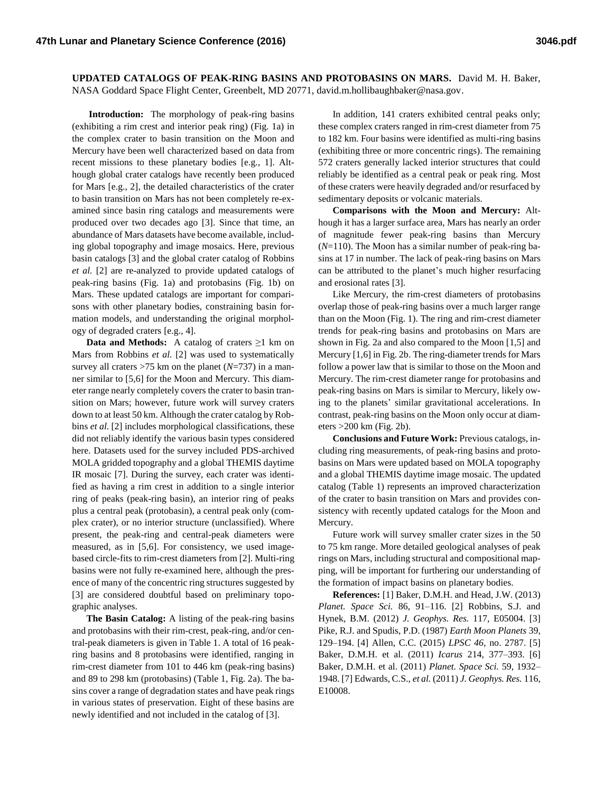**UPDATED CATALOGS OF PEAK-RING BASINS AND PROTOBASINS ON MARS.** David M. H. Baker, NASA Goddard Space Flight Center, Greenbelt, MD 20771, david.m.hollibaughbaker@nasa.gov.

**Introduction:** The morphology of peak-ring basins (exhibiting a rim crest and interior peak ring) (Fig. 1a) in the complex crater to basin transition on the Moon and Mercury have been well characterized based on data from recent missions to these planetary bodies [e.g., 1]. Although global crater catalogs have recently been produced for Mars [e.g., 2], the detailed characteristics of the crater to basin transition on Mars has not been completely re-examined since basin ring catalogs and measurements were produced over two decades ago [3]. Since that time, an abundance of Mars datasets have become available, including global topography and image mosaics. Here, previous basin catalogs [3] and the global crater catalog of Robbins *et al.* [2] are re-analyzed to provide updated catalogs of peak-ring basins (Fig. 1a) and protobasins (Fig. 1b) on Mars. These updated catalogs are important for comparisons with other planetary bodies, constraining basin formation models, and understanding the original morphology of degraded craters [e.g., 4].

**Data and Methods:** A catalog of craters ≥1 km on Mars from Robbins *et al.* [2] was used to systematically survey all craters >75 km on the planet (*N*=737) in a manner similar to [5,6] for the Moon and Mercury. This diameter range nearly completely covers the crater to basin transition on Mars; however, future work will survey craters down to at least 50 km. Although the crater catalog by Robbins *et al.* [2] includes morphological classifications, these did not reliably identify the various basin types considered here. Datasets used for the survey included PDS-archived MOLA gridded topography and a global THEMIS daytime IR mosaic [7]. During the survey, each crater was identified as having a rim crest in addition to a single interior ring of peaks (peak-ring basin), an interior ring of peaks plus a central peak (protobasin), a central peak only (complex crater), or no interior structure (unclassified). Where present, the peak-ring and central-peak diameters were measured, as in [5,6]. For consistency, we used imagebased circle-fits to rim-crest diameters from [2]. Multi-ring basins were not fully re-examined here, although the presence of many of the concentric ring structures suggested by [3] are considered doubtful based on preliminary topographic analyses.

**The Basin Catalog:** A listing of the peak-ring basins and protobasins with their rim-crest, peak-ring, and/or central-peak diameters is given in Table 1. A total of 16 peakring basins and 8 protobasins were identified, ranging in rim-crest diameter from 101 to 446 km (peak-ring basins) and 89 to 298 km (protobasins) (Table 1, Fig. 2a). The basins cover a range of degradation states and have peak rings in various states of preservation. Eight of these basins are newly identified and not included in the catalog of [3].

In addition, 141 craters exhibited central peaks only; these complex craters ranged in rim-crest diameter from 75 to 182 km. Four basins were identified as multi-ring basins (exhibiting three or more concentric rings). The remaining 572 craters generally lacked interior structures that could reliably be identified as a central peak or peak ring. Most of these craters were heavily degraded and/or resurfaced by sedimentary deposits or volcanic materials.

**Comparisons with the Moon and Mercury:** Although it has a larger surface area, Mars has nearly an order of magnitude fewer peak-ring basins than Mercury (*N*=110). The Moon has a similar number of peak-ring basins at 17 in number. The lack of peak-ring basins on Mars can be attributed to the planet's much higher resurfacing and erosional rates [3].

Like Mercury, the rim-crest diameters of protobasins overlap those of peak-ring basins over a much larger range than on the Moon (Fig. 1). The ring and rim-crest diameter trends for peak-ring basins and protobasins on Mars are shown in Fig. 2a and also compared to the Moon [1,5] and Mercury  $[1,6]$  in Fig. 2b. The ring-diameter trends for Mars follow a power law that is similar to those on the Moon and Mercury. The rim-crest diameter range for protobasins and peak-ring basins on Mars is similar to Mercury, likely owing to the planets' similar gravitational accelerations. In contrast, peak-ring basins on the Moon only occur at diameters >200 km (Fig. 2b).

**Conclusions and Future Work:** Previous catalogs, including ring measurements, of peak-ring basins and protobasins on Mars were updated based on MOLA topography and a global THEMIS daytime image mosaic. The updated catalog (Table 1) represents an improved characterization of the crater to basin transition on Mars and provides consistency with recently updated catalogs for the Moon and Mercury.

Future work will survey smaller crater sizes in the 50 to 75 km range. More detailed geological analyses of peak rings on Mars, including structural and compositional mapping, will be important for furthering our understanding of the formation of impact basins on planetary bodies.

**References:** [1] Baker, D.M.H. and Head, J.W. (2013) *Planet. Space Sci.* 86, 91–116. [2] Robbins, S.J. and Hynek, B.M. (2012) *J. Geophys. Res.* 117, E05004. [3] Pike, R.J. and Spudis, P.D. (1987) *Earth Moon Planets* 39, 129–194. [4] Allen, C.C. (2015) *LPSC 46*, no. 2787. [5] Baker, D.M.H. et al. (2011) *Icarus* 214, 377–393. [6] Baker, D.M.H. et al. (2011) *Planet. Space Sci.* 59, 1932– 1948. [7] Edwards, C.S., *et al.* (2011) *J. Geophys. Res.* 116, E10008.